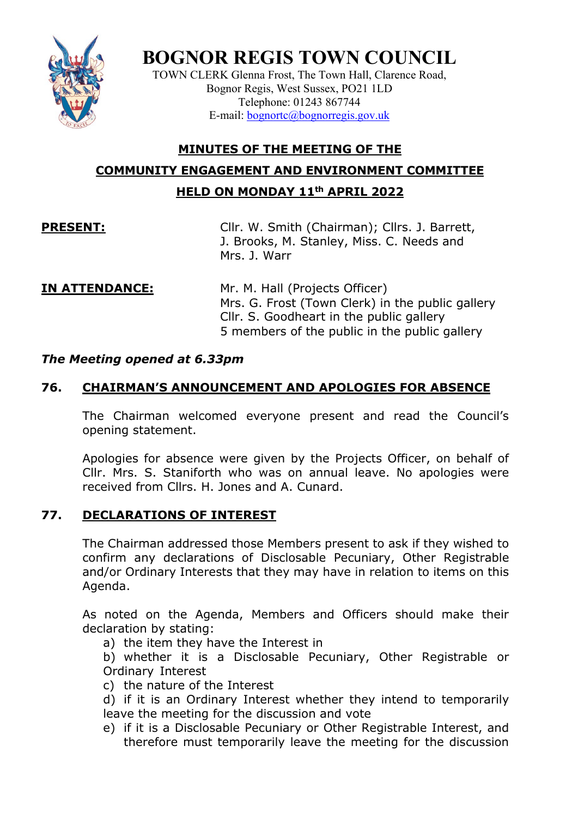

# **BOGNOR REGIS TOWN COUNCIL**

TOWN CLERK Glenna Frost, The Town Hall, Clarence Road, Bognor Regis, West Sussex, PO21 1LD Telephone: 01243 867744 E-mail: [bognortc@bognorregis.gov.uk](mailto:bognortc@bognorregis.gov.uk)

## **MINUTES OF THE MEETING OF THE COMMUNITY ENGAGEMENT AND ENVIRONMENT COMMITTEE HELD ON MONDAY 11th APRIL 2022**

**PRESENT:** Cllr. W. Smith (Chairman); Cllrs. J. Barrett, J. Brooks, M. Stanley, Miss. C. Needs and Mrs. J. Warr

**IN ATTENDANCE:** Mr. M. Hall (Projects Officer) Mrs. G. Frost (Town Clerk) in the public gallery Cllr. S. Goodheart in the public gallery 5 members of the public in the public gallery

#### *The Meeting opened at 6.33pm*

### **76. CHAIRMAN'S ANNOUNCEMENT AND APOLOGIES FOR ABSENCE**

The Chairman welcomed everyone present and read the Council's opening statement.

Apologies for absence were given by the Projects Officer, on behalf of Cllr. Mrs. S. Staniforth who was on annual leave. No apologies were received from Cllrs. H. Jones and A. Cunard.

#### **77. DECLARATIONS OF INTEREST**

The Chairman addressed those Members present to ask if they wished to confirm any declarations of Disclosable Pecuniary, Other Registrable and/or Ordinary Interests that they may have in relation to items on this Agenda.

As noted on the Agenda, Members and Officers should make their declaration by stating:

a) the item they have the Interest in

b) whether it is a Disclosable Pecuniary, Other Registrable or Ordinary Interest

c) the nature of the Interest

d) if it is an Ordinary Interest whether they intend to temporarily leave the meeting for the discussion and vote

e) if it is a Disclosable Pecuniary or Other Registrable Interest, and therefore must temporarily leave the meeting for the discussion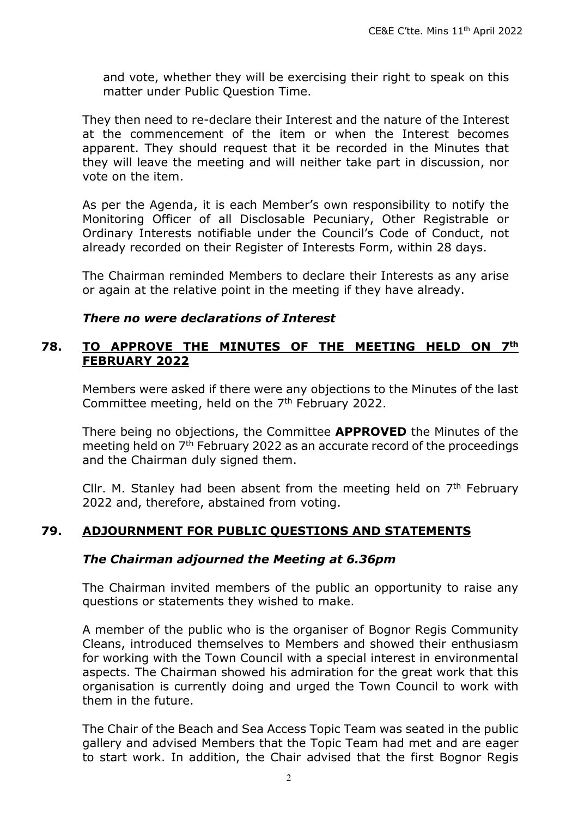and vote, whether they will be exercising their right to speak on this matter under Public Question Time.

They then need to re-declare their Interest and the nature of the Interest at the commencement of the item or when the Interest becomes apparent. They should request that it be recorded in the Minutes that they will leave the meeting and will neither take part in discussion, nor vote on the item.

As per the Agenda, it is each Member's own responsibility to notify the Monitoring Officer of all Disclosable Pecuniary, Other Registrable or Ordinary Interests notifiable under the Council's Code of Conduct, not already recorded on their Register of Interests Form, within 28 days.

The Chairman reminded Members to declare their Interests as any arise or again at the relative point in the meeting if they have already.

#### *There no were declarations of Interest*

#### **78. TO APPROVE THE MINUTES OF THE MEETING HELD ON 7th FEBRUARY 2022**

Members were asked if there were any objections to the Minutes of the last Committee meeting, held on the  $7<sup>th</sup>$  February 2022.

There being no objections, the Committee **APPROVED** the Minutes of the meeting held on 7<sup>th</sup> February 2022 as an accurate record of the proceedings and the Chairman duly signed them.

Cllr. M. Stanley had been absent from the meeting held on  $7<sup>th</sup>$  February 2022 and, therefore, abstained from voting.

#### **79. ADJOURNMENT FOR PUBLIC QUESTIONS AND STATEMENTS**

#### *The Chairman adjourned the Meeting at 6.36pm*

The Chairman invited members of the public an opportunity to raise any questions or statements they wished to make.

A member of the public who is the organiser of Bognor Regis Community Cleans, introduced themselves to Members and showed their enthusiasm for working with the Town Council with a special interest in environmental aspects. The Chairman showed his admiration for the great work that this organisation is currently doing and urged the Town Council to work with them in the future.

The Chair of the Beach and Sea Access Topic Team was seated in the public gallery and advised Members that the Topic Team had met and are eager to start work. In addition, the Chair advised that the first Bognor Regis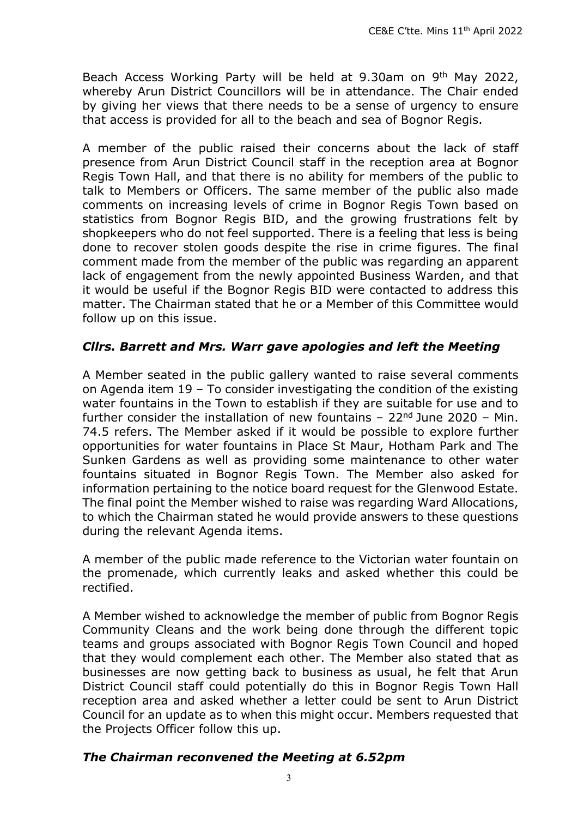Beach Access Working Party will be held at 9.30am on 9th May 2022, whereby Arun District Councillors will be in attendance. The Chair ended by giving her views that there needs to be a sense of urgency to ensure that access is provided for all to the beach and sea of Bognor Regis.

A member of the public raised their concerns about the lack of staff presence from Arun District Council staff in the reception area at Bognor Regis Town Hall, and that there is no ability for members of the public to talk to Members or Officers. The same member of the public also made comments on increasing levels of crime in Bognor Regis Town based on statistics from Bognor Regis BID, and the growing frustrations felt by shopkeepers who do not feel supported. There is a feeling that less is being done to recover stolen goods despite the rise in crime figures. The final comment made from the member of the public was regarding an apparent lack of engagement from the newly appointed Business Warden, and that it would be useful if the Bognor Regis BID were contacted to address this matter. The Chairman stated that he or a Member of this Committee would follow up on this issue.

#### *Cllrs. Barrett and Mrs. Warr gave apologies and left the Meeting*

A Member seated in the public gallery wanted to raise several comments on Agenda item 19 – To consider investigating the condition of the existing water fountains in the Town to establish if they are suitable for use and to further consider the installation of new fountains  $-22<sup>nd</sup>$  June 2020 – Min. 74.5 refers. The Member asked if it would be possible to explore further opportunities for water fountains in Place St Maur, Hotham Park and The Sunken Gardens as well as providing some maintenance to other water fountains situated in Bognor Regis Town. The Member also asked for information pertaining to the notice board request for the Glenwood Estate. The final point the Member wished to raise was regarding Ward Allocations, to which the Chairman stated he would provide answers to these questions during the relevant Agenda items.

A member of the public made reference to the Victorian water fountain on the promenade, which currently leaks and asked whether this could be rectified.

A Member wished to acknowledge the member of public from Bognor Regis Community Cleans and the work being done through the different topic teams and groups associated with Bognor Regis Town Council and hoped that they would complement each other. The Member also stated that as businesses are now getting back to business as usual, he felt that Arun District Council staff could potentially do this in Bognor Regis Town Hall reception area and asked whether a letter could be sent to Arun District Council for an update as to when this might occur. Members requested that the Projects Officer follow this up.

#### *The Chairman reconvened the Meeting at 6.52pm*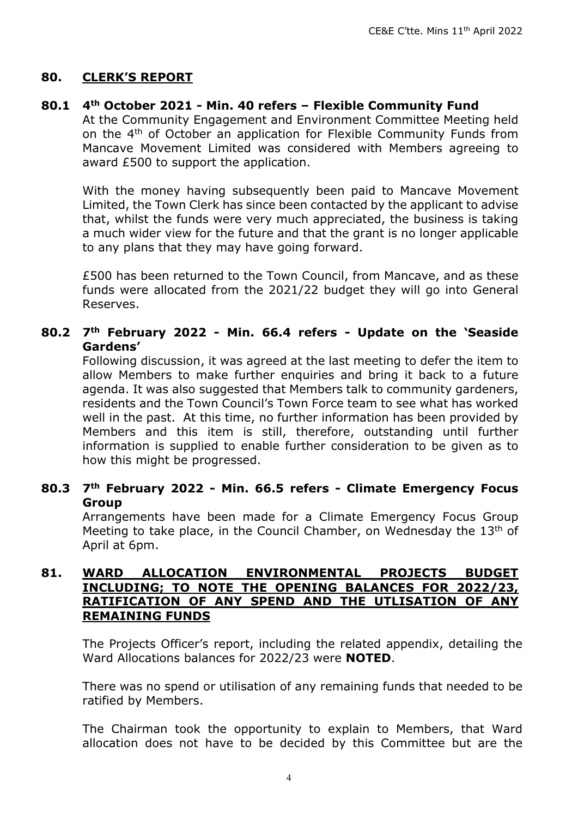### **80. CLERK'S REPORT**

#### **80.1 4th October 2021 - Min. 40 refers – Flexible Community Fund**

At the Community Engagement and Environment Committee Meeting held on the 4<sup>th</sup> of October an application for Flexible Community Funds from Mancave Movement Limited was considered with Members agreeing to award £500 to support the application.

With the money having subsequently been paid to Mancave Movement Limited, the Town Clerk has since been contacted by the applicant to advise that, whilst the funds were very much appreciated, the business is taking a much wider view for the future and that the grant is no longer applicable to any plans that they may have going forward.

£500 has been returned to the Town Council, from Mancave, and as these funds were allocated from the 2021/22 budget they will go into General Reserves.

### **80.2 7th February 2022 - Min. 66.4 refers - Update on the 'Seaside Gardens'**

Following discussion, it was agreed at the last meeting to defer the item to allow Members to make further enquiries and bring it back to a future agenda. It was also suggested that Members talk to community gardeners, residents and the Town Council's Town Force team to see what has worked well in the past. At this time, no further information has been provided by Members and this item is still, therefore, outstanding until further information is supplied to enable further consideration to be given as to how this might be progressed.

#### **80.3 7th February 2022 - Min. 66.5 refers - Climate Emergency Focus Group**

Arrangements have been made for a Climate Emergency Focus Group Meeting to take place, in the Council Chamber, on Wednesday the  $13<sup>th</sup>$  of April at 6pm.

#### **81. WARD ALLOCATION ENVIRONMENTAL PROJECTS BUDGET INCLUDING; TO NOTE THE OPENING BALANCES FOR 2022/23, RATIFICATION OF ANY SPEND AND THE UTLISATION OF ANY REMAINING FUNDS**

The Projects Officer's report, including the related appendix, detailing the Ward Allocations balances for 2022/23 were **NOTED**.

There was no spend or utilisation of any remaining funds that needed to be ratified by Members.

The Chairman took the opportunity to explain to Members, that Ward allocation does not have to be decided by this Committee but are the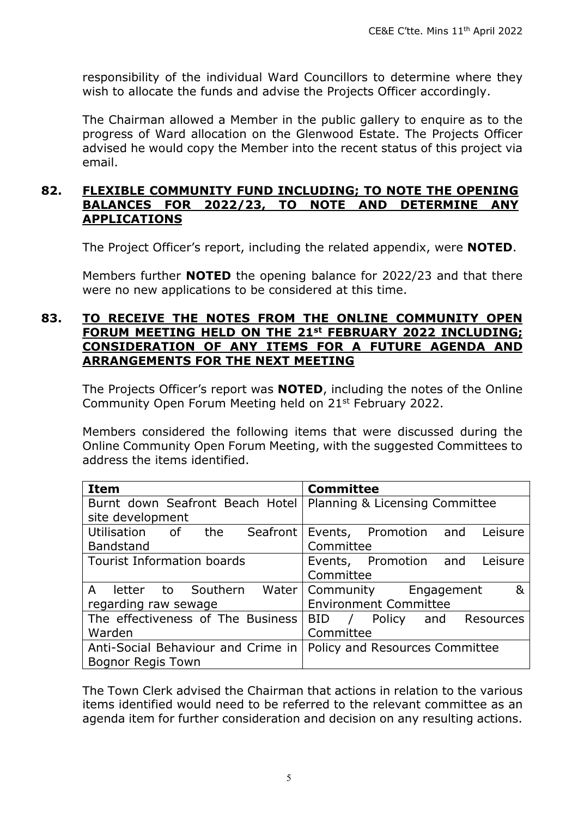responsibility of the individual Ward Councillors to determine where they wish to allocate the funds and advise the Projects Officer accordingly.

The Chairman allowed a Member in the public gallery to enquire as to the progress of Ward allocation on the Glenwood Estate. The Projects Officer advised he would copy the Member into the recent status of this project via email.

#### **82. FLEXIBLE COMMUNITY FUND INCLUDING; TO NOTE THE OPENING BALANCES FOR 2022/23, TO NOTE AND DETERMINE ANY APPLICATIONS**

The Project Officer's report, including the related appendix, were **NOTED**.

Members further **NOTED** the opening balance for 2022/23 and that there were no new applications to be considered at this time.

#### **83. TO RECEIVE THE NOTES FROM THE ONLINE COMMUNITY OPEN FORUM MEETING HELD ON THE 21st FEBRUARY 2022 INCLUDING; CONSIDERATION OF ANY ITEMS FOR A FUTURE AGENDA AND ARRANGEMENTS FOR THE NEXT MEETING**

The Projects Officer's report was **NOTED**, including the notes of the Online Community Open Forum Meeting held on 21<sup>st</sup> February 2022.

Members considered the following items that were discussed during the Online Community Open Forum Meeting, with the suggested Committees to address the items identified.

| <b>Item</b>                              | <b>Committee</b>                 |
|------------------------------------------|----------------------------------|
| Burnt down Seafront Beach Hotel          | Planning & Licensing Committee   |
| site development                         |                                  |
| Utilisation of the Seafront              | Events, Promotion and<br>Leisure |
| <b>Bandstand</b>                         | Committee                        |
| <b>Tourist Information boards</b>        | Events, Promotion and<br>Leisure |
|                                          | Committee                        |
| $\mathsf{A}$<br>letter to Southern Water | ୍ଷ<br>Community Engagement       |
| regarding raw sewage                     | <b>Environment Committee</b>     |
| The effectiveness of The Business        | BID / Policy and Resources       |
| Warden                                   | Committee                        |
| Anti-Social Behaviour and Crime in       | Policy and Resources Committee   |
| <b>Bognor Regis Town</b>                 |                                  |

The Town Clerk advised the Chairman that actions in relation to the various items identified would need to be referred to the relevant committee as an agenda item for further consideration and decision on any resulting actions.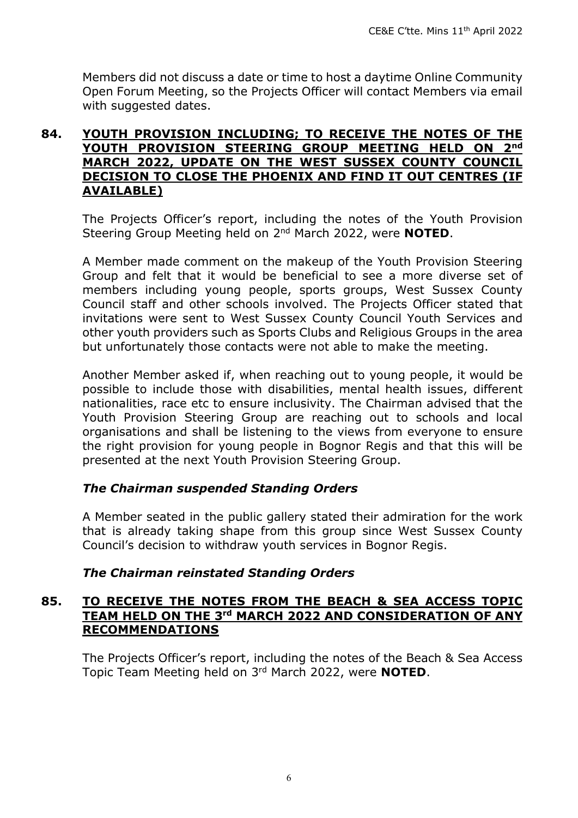Members did not discuss a date or time to host a daytime Online Community Open Forum Meeting, so the Projects Officer will contact Members via email with suggested dates.

#### **84. YOUTH PROVISION INCLUDING; TO RECEIVE THE NOTES OF THE YOUTH PROVISION STEERING GROUP MEETING HELD ON 2nd MARCH 2022, UPDATE ON THE WEST SUSSEX COUNTY COUNCIL DECISION TO CLOSE THE PHOENIX AND FIND IT OUT CENTRES (IF AVAILABLE)**

The Projects Officer's report, including the notes of the Youth Provision Steering Group Meeting held on 2nd March 2022, were **NOTED**.

A Member made comment on the makeup of the Youth Provision Steering Group and felt that it would be beneficial to see a more diverse set of members including young people, sports groups, West Sussex County Council staff and other schools involved. The Projects Officer stated that invitations were sent to West Sussex County Council Youth Services and other youth providers such as Sports Clubs and Religious Groups in the area but unfortunately those contacts were not able to make the meeting.

Another Member asked if, when reaching out to young people, it would be possible to include those with disabilities, mental health issues, different nationalities, race etc to ensure inclusivity. The Chairman advised that the Youth Provision Steering Group are reaching out to schools and local organisations and shall be listening to the views from everyone to ensure the right provision for young people in Bognor Regis and that this will be presented at the next Youth Provision Steering Group.

#### *The Chairman suspended Standing Orders*

A Member seated in the public gallery stated their admiration for the work that is already taking shape from this group since West Sussex County Council's decision to withdraw youth services in Bognor Regis.

#### *The Chairman reinstated Standing Orders*

#### **85. TO RECEIVE THE NOTES FROM THE BEACH & SEA ACCESS TOPIC TEAM HELD ON THE 3rd MARCH 2022 AND CONSIDERATION OF ANY RECOMMENDATIONS**

The Projects Officer's report, including the notes of the Beach & Sea Access Topic Team Meeting held on 3rd March 2022, were **NOTED**.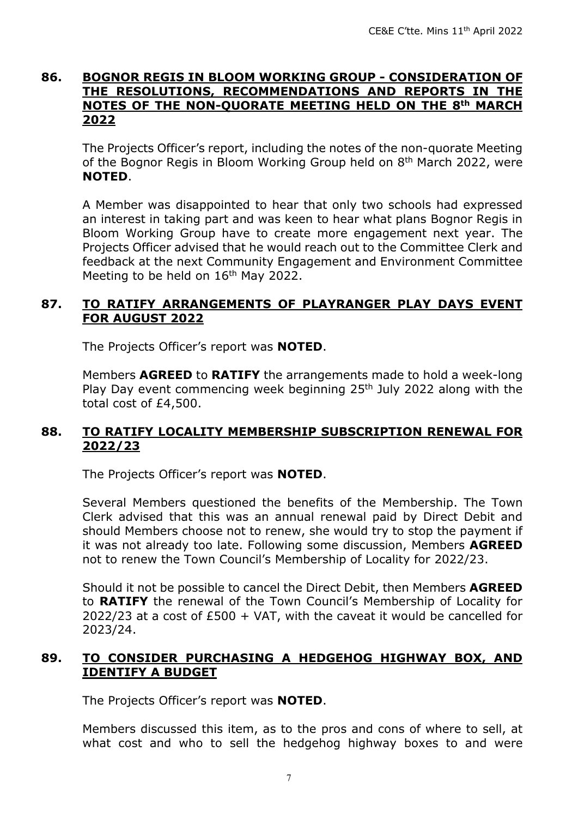#### **86. BOGNOR REGIS IN BLOOM WORKING GROUP - CONSIDERATION OF THE RESOLUTIONS, RECOMMENDATIONS AND REPORTS IN THE NOTES OF THE NON-QUORATE MEETING HELD ON THE 8th MARCH 2022**

The Projects Officer's report, including the notes of the non-quorate Meeting of the Bognor Regis in Bloom Working Group held on 8<sup>th</sup> March 2022, were **NOTED**.

A Member was disappointed to hear that only two schools had expressed an interest in taking part and was keen to hear what plans Bognor Regis in Bloom Working Group have to create more engagement next year. The Projects Officer advised that he would reach out to the Committee Clerk and feedback at the next Community Engagement and Environment Committee Meeting to be held on 16<sup>th</sup> May 2022.

#### **87. TO RATIFY ARRANGEMENTS OF PLAYRANGER PLAY DAYS EVENT FOR AUGUST 2022**

The Projects Officer's report was **NOTED**.

Members **AGREED** to **RATIFY** the arrangements made to hold a week-long Play Day event commencing week beginning 25<sup>th</sup> July 2022 along with the total cost of £4,500.

#### **88. TO RATIFY LOCALITY MEMBERSHIP SUBSCRIPTION RENEWAL FOR 2022/23**

The Projects Officer's report was **NOTED**.

Several Members questioned the benefits of the Membership. The Town Clerk advised that this was an annual renewal paid by Direct Debit and should Members choose not to renew, she would try to stop the payment if it was not already too late. Following some discussion, Members **AGREED** not to renew the Town Council's Membership of Locality for 2022/23.

Should it not be possible to cancel the Direct Debit, then Members **AGREED** to **RATIFY** the renewal of the Town Council's Membership of Locality for 2022/23 at a cost of  $£500 + VAT$ , with the caveat it would be cancelled for 2023/24.

#### **89. TO CONSIDER PURCHASING A HEDGEHOG HIGHWAY BOX, AND IDENTIFY A BUDGET**

The Projects Officer's report was **NOTED**.

Members discussed this item, as to the pros and cons of where to sell, at what cost and who to sell the hedgehog highway boxes to and were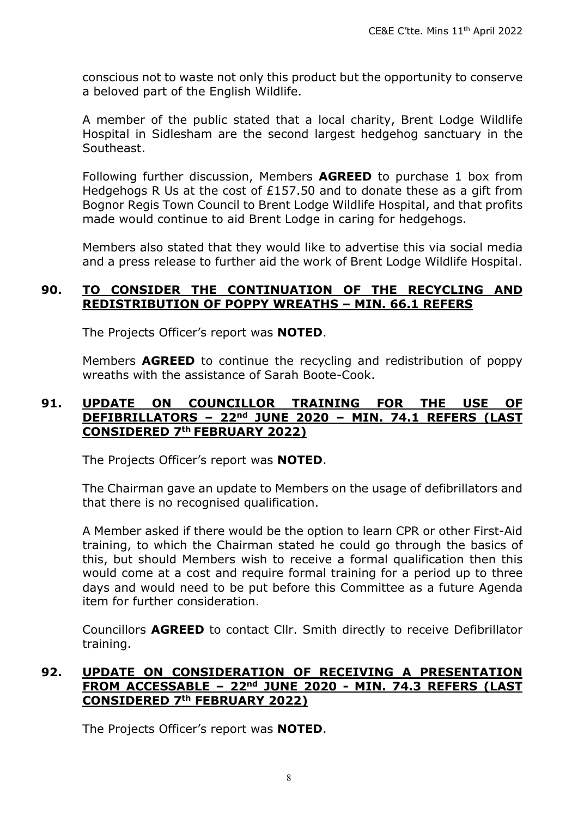conscious not to waste not only this product but the opportunity to conserve a beloved part of the English Wildlife.

A member of the public stated that a local charity, Brent Lodge Wildlife Hospital in Sidlesham are the second largest hedgehog sanctuary in the Southeast.

Following further discussion, Members **AGREED** to purchase 1 box from Hedgehogs R Us at the cost of £157.50 and to donate these as a gift from Bognor Regis Town Council to Brent Lodge Wildlife Hospital, and that profits made would continue to aid Brent Lodge in caring for hedgehogs.

Members also stated that they would like to advertise this via social media and a press release to further aid the work of Brent Lodge Wildlife Hospital.

#### **90. TO CONSIDER THE CONTINUATION OF THE RECYCLING AND REDISTRIBUTION OF POPPY WREATHS – MIN. 66.1 REFERS**

The Projects Officer's report was **NOTED**.

Members **AGREED** to continue the recycling and redistribution of poppy wreaths with the assistance of Sarah Boote-Cook.

#### **91. UPDATE ON COUNCILLOR TRAINING FOR THE USE OF DEFIBRILLATORS – 22nd JUNE 2020 – MIN. 74.1 REFERS (LAST CONSIDERED 7th FEBRUARY 2022)**

The Projects Officer's report was **NOTED**.

The Chairman gave an update to Members on the usage of defibrillators and that there is no recognised qualification.

A Member asked if there would be the option to learn CPR or other First-Aid training, to which the Chairman stated he could go through the basics of this, but should Members wish to receive a formal qualification then this would come at a cost and require formal training for a period up to three days and would need to be put before this Committee as a future Agenda item for further consideration.

Councillors **AGREED** to contact Cllr. Smith directly to receive Defibrillator training.

#### **92. UPDATE ON CONSIDERATION OF RECEIVING A PRESENTATION FROM ACCESSABLE – 22nd JUNE 2020 - MIN. 74.3 REFERS (LAST CONSIDERED 7th FEBRUARY 2022)**

The Projects Officer's report was **NOTED**.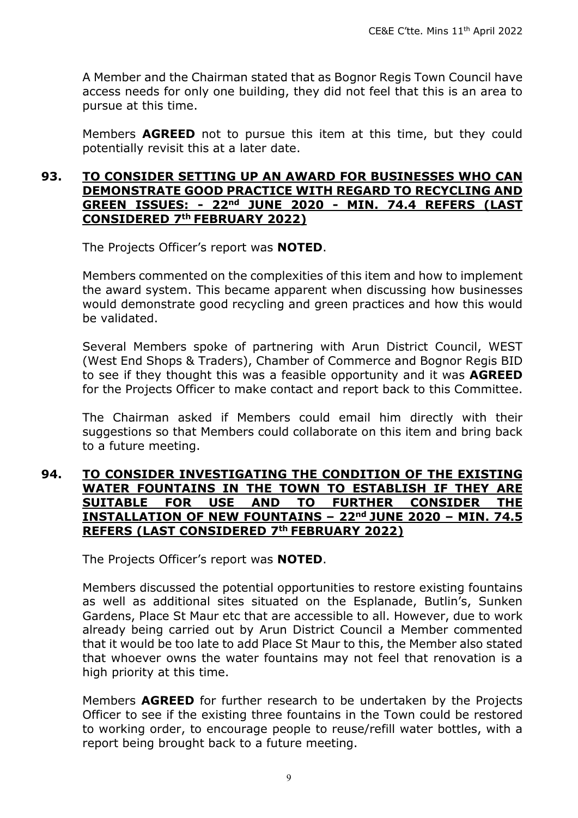A Member and the Chairman stated that as Bognor Regis Town Council have access needs for only one building, they did not feel that this is an area to pursue at this time.

Members **AGREED** not to pursue this item at this time, but they could potentially revisit this at a later date.

#### **93. TO CONSIDER SETTING UP AN AWARD FOR BUSINESSES WHO CAN DEMONSTRATE GOOD PRACTICE WITH REGARD TO RECYCLING AND GREEN ISSUES: - 22nd JUNE 2020 - MIN. 74.4 REFERS (LAST CONSIDERED 7th FEBRUARY 2022)**

The Projects Officer's report was **NOTED**.

Members commented on the complexities of this item and how to implement the award system. This became apparent when discussing how businesses would demonstrate good recycling and green practices and how this would be validated.

Several Members spoke of partnering with Arun District Council, WEST (West End Shops & Traders), Chamber of Commerce and Bognor Regis BID to see if they thought this was a feasible opportunity and it was **AGREED**  for the Projects Officer to make contact and report back to this Committee.

The Chairman asked if Members could email him directly with their suggestions so that Members could collaborate on this item and bring back to a future meeting.

#### **94. TO CONSIDER INVESTIGATING THE CONDITION OF THE EXISTING WATER FOUNTAINS IN THE TOWN TO ESTABLISH IF THEY ARE SUITABLE FOR USE AND TO FURTHER CONSIDER THE INSTALLATION OF NEW FOUNTAINS – 22nd JUNE 2020 – MIN. 74.5 REFERS (LAST CONSIDERED 7th FEBRUARY 2022)**

The Projects Officer's report was **NOTED**.

Members discussed the potential opportunities to restore existing fountains as well as additional sites situated on the Esplanade, Butlin's, Sunken Gardens, Place St Maur etc that are accessible to all. However, due to work already being carried out by Arun District Council a Member commented that it would be too late to add Place St Maur to this, the Member also stated that whoever owns the water fountains may not feel that renovation is a high priority at this time.

Members **AGREED** for further research to be undertaken by the Projects Officer to see if the existing three fountains in the Town could be restored to working order, to encourage people to reuse/refill water bottles, with a report being brought back to a future meeting.